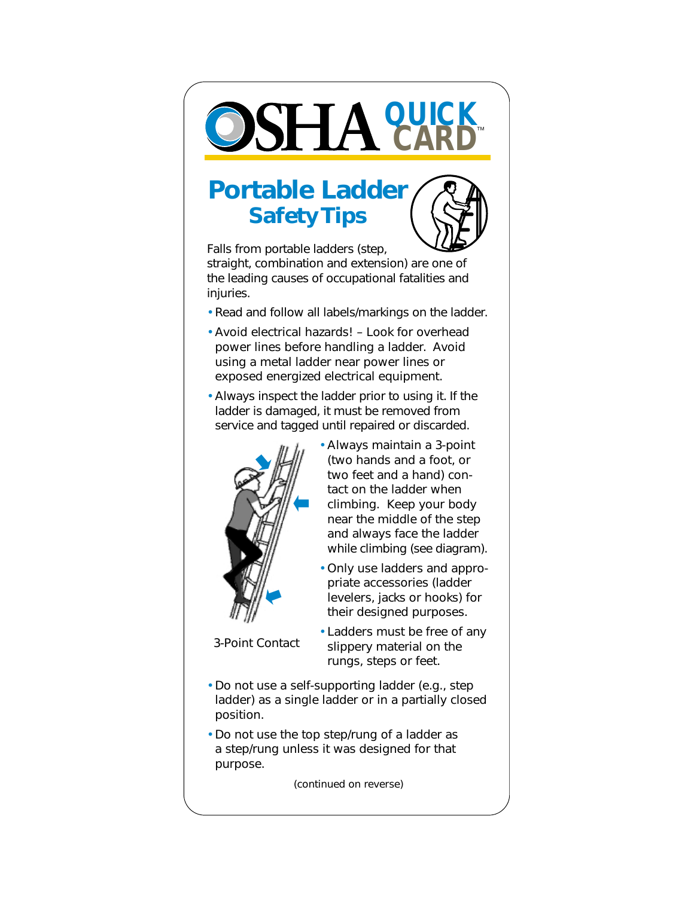

## **Portable Ladder Safety Tips**



Falls from portable ladders (step, straight, combination and extension) are one of the leading causes of occupational fatalities and injuries.

- Read and follow all labels/markings on the ladder.
- Avoid electrical hazards! Look for overhead power lines before handling a ladder. Avoid using a metal ladder near power lines or exposed energized electrical equipment.
- Always inspect the ladder prior to using it. If the ladder is damaged, it must be removed from service and tagged until repaired or discarded.



- Always maintain a 3-point (two hands and a foot, or two feet and a hand) contact on the ladder when climbing. Keep your body near the middle of the step and always face the ladder while climbing (see diagram).
- Only use ladders and appropriate accessories (ladder levelers, jacks or hooks) for their designed purposes.
- 3-Point Contact
- Ladders must be free of any slippery material on the rungs, steps or feet.
- Do not use a self-supporting ladder (e.g., step ladder) as a single ladder or in a partially closed position.
- Do not use the top step/rung of a ladder as a step/rung unless it was designed for that purpose.

(continued on reverse)